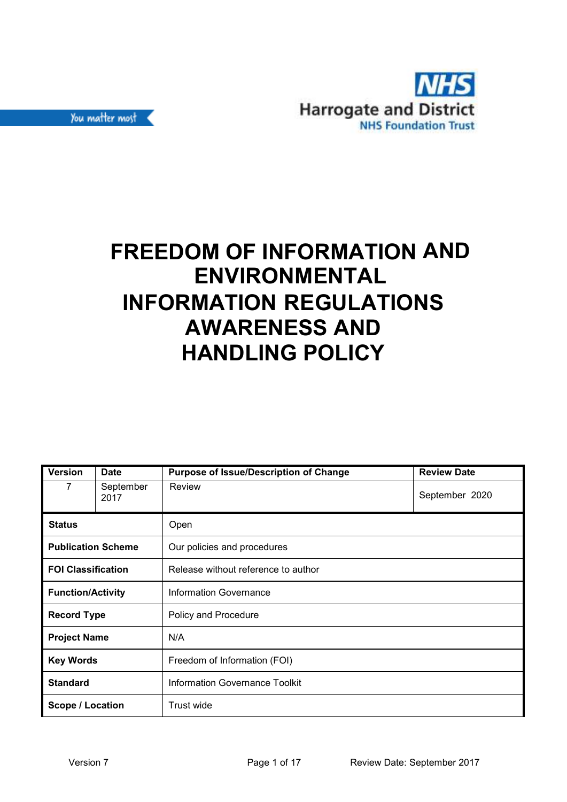

# **FREEDOM OF INFORMATION AND ENVIRONMENTAL INFORMATION REGULATIONS AWARENESS AND HANDLING POLICY**

| <b>Version</b>            | <b>Date</b>       | <b>Purpose of Issue/Description of Change</b> | <b>Review Date</b> |  |
|---------------------------|-------------------|-----------------------------------------------|--------------------|--|
| 7                         | September<br>2017 | Review                                        | September 2020     |  |
| <b>Status</b>             |                   | Open                                          |                    |  |
| <b>Publication Scheme</b> |                   | Our policies and procedures                   |                    |  |
| <b>FOI Classification</b> |                   | Release without reference to author           |                    |  |
| <b>Function/Activity</b>  |                   | <b>Information Governance</b>                 |                    |  |
| <b>Record Type</b>        |                   | Policy and Procedure                          |                    |  |
| <b>Project Name</b>       |                   | N/A                                           |                    |  |
| <b>Key Words</b>          |                   | Freedom of Information (FOI)                  |                    |  |
| <b>Standard</b>           |                   | <b>Information Governance Toolkit</b>         |                    |  |
| <b>Scope / Location</b>   |                   | Trust wide                                    |                    |  |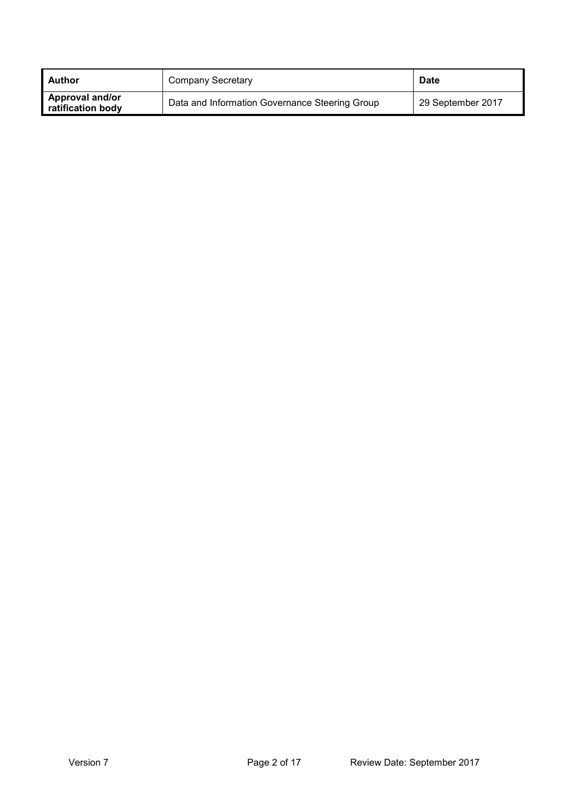| I Author                             | Company Secretary                              | <b>Date</b>       |
|--------------------------------------|------------------------------------------------|-------------------|
| Approval and/or<br>ratification body | Data and Information Governance Steering Group | 29 September 2017 |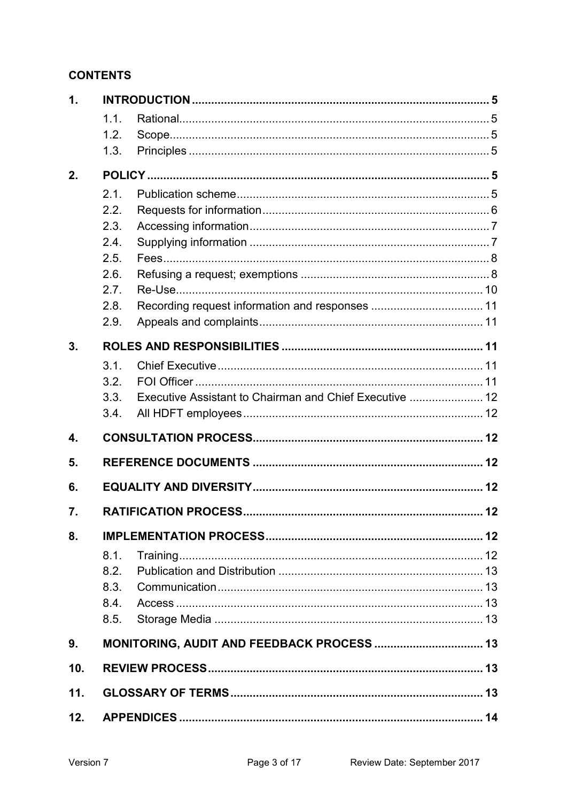## **CONTENTS**

| 1.           |      |                                                         |  |  |
|--------------|------|---------------------------------------------------------|--|--|
|              | 1.1. |                                                         |  |  |
|              | 1.2. |                                                         |  |  |
|              | 1.3. |                                                         |  |  |
| 2.           |      |                                                         |  |  |
|              | 2.1. |                                                         |  |  |
|              | 2.2. |                                                         |  |  |
|              | 2.3. |                                                         |  |  |
|              | 2.4. |                                                         |  |  |
|              | 2.5. |                                                         |  |  |
|              | 2.6. |                                                         |  |  |
|              | 2.7. |                                                         |  |  |
|              | 2.8. |                                                         |  |  |
|              | 2.9. |                                                         |  |  |
| 3.           |      |                                                         |  |  |
|              | 3.1. |                                                         |  |  |
|              | 3.2. |                                                         |  |  |
|              | 3.3. | Executive Assistant to Chairman and Chief Executive  12 |  |  |
|              | 3.4. |                                                         |  |  |
| $\mathbf{4}$ |      |                                                         |  |  |
| 5.           |      |                                                         |  |  |
| 6.           |      |                                                         |  |  |
| 7.           |      |                                                         |  |  |
| 8.           |      |                                                         |  |  |
|              | 8.1. |                                                         |  |  |
|              | 8.2. |                                                         |  |  |
|              | 8.3. |                                                         |  |  |
|              | 8.4. |                                                         |  |  |
|              | 8.5. |                                                         |  |  |
| 9.           |      |                                                         |  |  |
| 10.          |      |                                                         |  |  |
| 11.          |      |                                                         |  |  |
| 12.          |      |                                                         |  |  |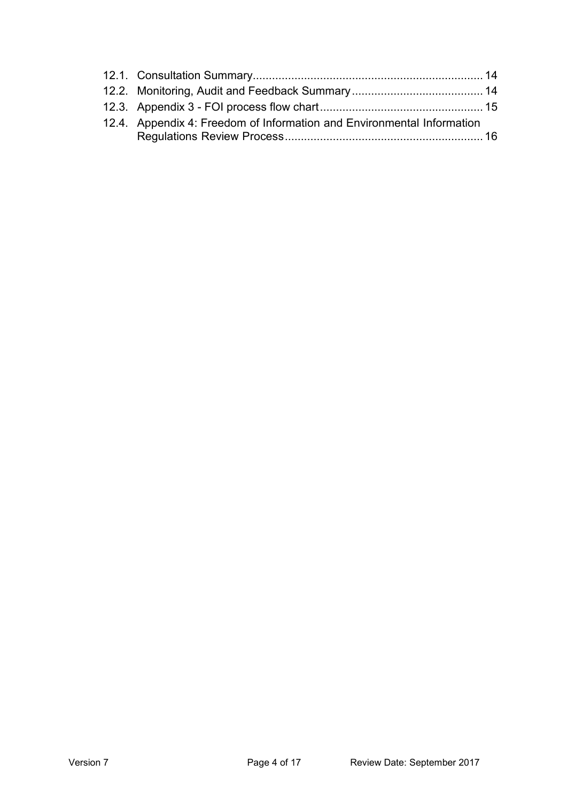| 12.4. Appendix 4: Freedom of Information and Environmental Information |  |
|------------------------------------------------------------------------|--|
|                                                                        |  |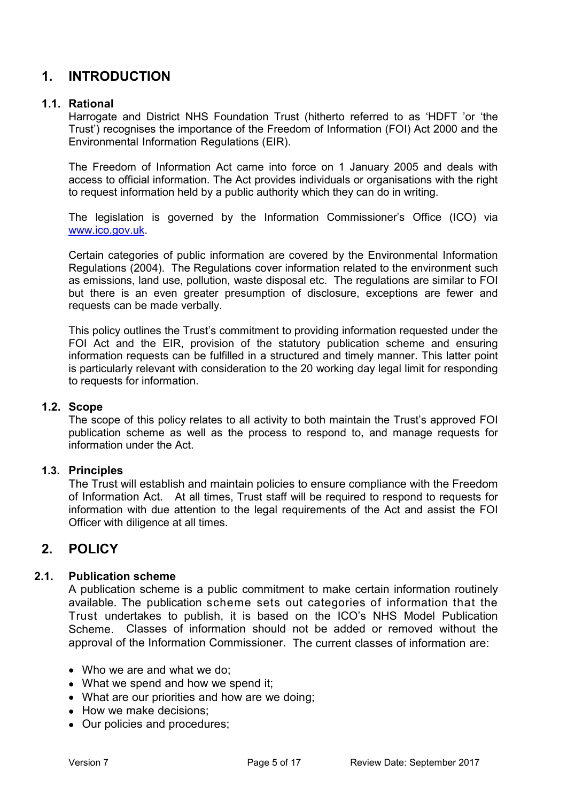## **1. INTRODUCTION**

#### **1.1. Rational**

Harrogate and District NHS Foundation Trust (hitherto referred to as 'HDFT 'or 'the Trust') recognises the importance of the Freedom of Information (FOI) Act 2000 and the Environmental Information Regulations (EIR).

The Freedom of Information Act came into force on 1 January 2005 and deals with access to official information. The Act provides individuals or organisations with the right to request information held by a public authority which they can do in writing.

The legislation is governed by the Information Commissioner's Office (ICO) via www.ico.gov.uk.

Certain categories of public information are covered by the Environmental Information Regulations (2004). The Regulations cover information related to the environment such as emissions, land use, pollution, waste disposal etc. The regulations are similar to FOI but there is an even greater presumption of disclosure, exceptions are fewer and requests can be made verbally.

This policy outlines the Trust's commitment to providing information requested under the FOI Act and the EIR, provision of the statutory publication scheme and ensuring information requests can be fulfilled in a structured and timely manner. This latter point is particularly relevant with consideration to the 20 working day legal limit for responding to requests for information.

#### **1.2. Scope**

The scope of this policy relates to all activity to both maintain the Trust's approved FOI publication scheme as well as the process to respond to, and manage requests for information under the Act.

## **1.3. Principles**

The Trust will establish and maintain policies to ensure compliance with the Freedom of Information Act. At all times, Trust staff will be required to respond to requests for information with due attention to the legal requirements of the Act and assist the FOI Officer with diligence at all times.

## **2. POLICY**

## **2.1. Publication scheme**

A publication scheme is a public commitment to make certain information routinely available. The publication scheme sets out categories of information that the Trust undertakes to publish, it is based on the ICO's NHS Model Publication Scheme. Classes of information should not be added or removed without the approval of the Information Commissioner. The current classes of information are:

- Who we are and what we do;
- What we spend and how we spend it;
- What are our priorities and how are we doing;
- How we make decisions;
- Our policies and procedures;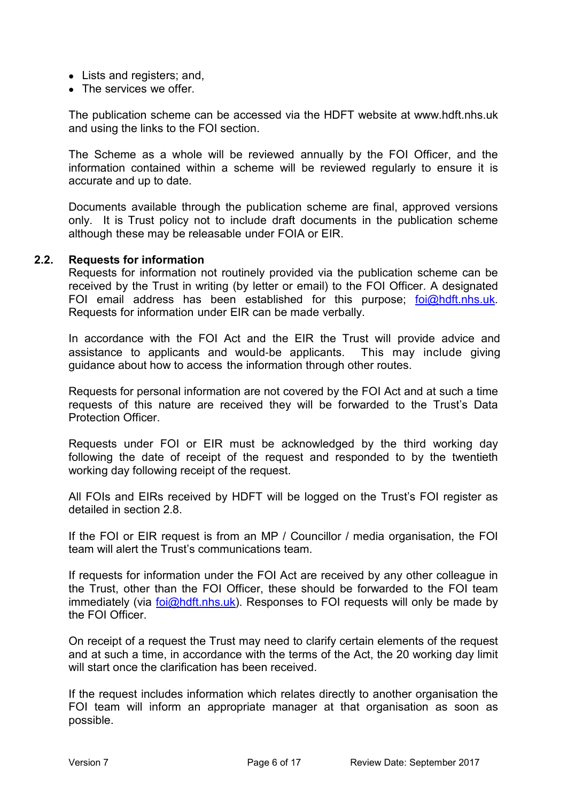- Lists and registers; and,
- The services we offer

The publication scheme can be accessed via the HDFT website at www.hdft.nhs.uk and using the links to the FOI section.

The Scheme as a whole will be reviewed annually by the FOI Officer, and the information contained within a scheme will be reviewed regularly to ensure it is accurate and up to date.

Documents available through the publication scheme are final, approved versions only. It is Trust policy not to include draft documents in the publication scheme although these may be releasable under FOIA or EIR.

#### **2.2. Requests for information**

Requests for information not routinely provided via the publication scheme can be received by the Trust in writing (by letter or email) to the FOI Officer. A designated FOI email address has been established for this purpose; foi@hdft.nhs.uk. Requests for information under EIR can be made verbally.

In accordance with the FOI Act and the EIR the Trust will provide advice and assistance to applicants and would‐be applicants. This may include giving guidance about how to access the information through other routes.

Requests for personal information are not covered by the FOI Act and at such a time requests of this nature are received they will be forwarded to the Trust's Data Protection Officer.

Requests under FOI or EIR must be acknowledged by the third working day following the date of receipt of the request and responded to by the twentieth working day following receipt of the request.

All FOIs and EIRs received by HDFT will be logged on the Trust's FOI register as detailed in section 2.8.

If the FOI or EIR request is from an MP / Councillor / media organisation, the FOI team will alert the Trust's communications team.

If requests for information under the FOI Act are received by any other colleague in the Trust, other than the FOI Officer, these should be forwarded to the FOI team immediately (via foi@hdft.nhs.uk). Responses to FOI requests will only be made by the FOI Officer.

On receipt of a request the Trust may need to clarify certain elements of the request and at such a time, in accordance with the terms of the Act, the 20 working day limit will start once the clarification has been received.

If the request includes information which relates directly to another organisation the FOI team will inform an appropriate manager at that organisation as soon as possible.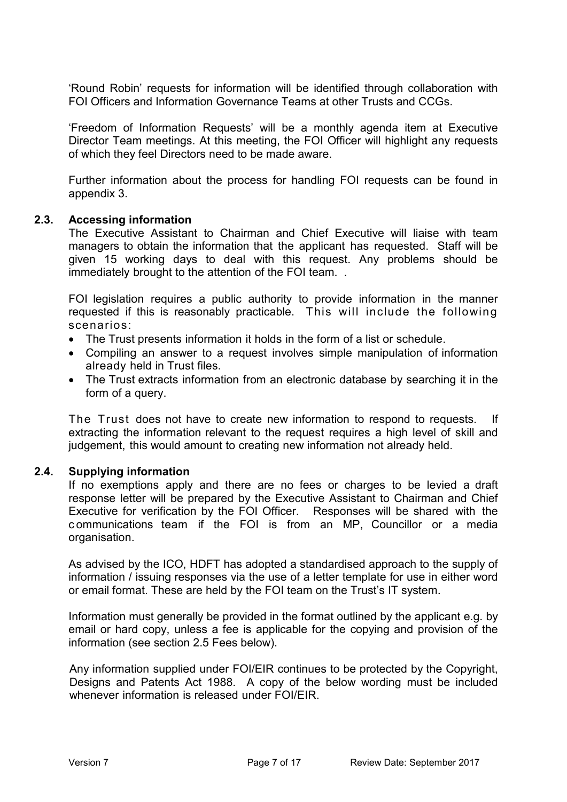'Round Robin' requests for information will be identified through collaboration with FOI Officers and Information Governance Teams at other Trusts and CCGs.

'Freedom of Information Requests' will be a monthly agenda item at Executive Director Team meetings. At this meeting, the FOI Officer will highlight any requests of which they feel Directors need to be made aware.

Further information about the process for handling FOI requests can be found in appendix 3.

#### **2.3. Accessing information**

The Executive Assistant to Chairman and Chief Executive will liaise with team managers to obtain the information that the applicant has requested. Staff will be given 15 working days to deal with this request. Any problems should be immediately brought to the attention of the FOI team. .

FOI legislation requires a public authority to provide information in the manner requested if this is reasonably practicable. This will include the following scenarios:

- The Trust presents information it holds in the form of a list or schedule.
- Compiling an answer to a request involves simple manipulation of information already held in Trust files.
- The Trust extracts information from an electronic database by searching it in the form of a query.

The Trust does not have to create new information to respond to requests. If extracting the information relevant to the request requires a high level of skill and judgement, this would amount to creating new information not already held.

## **2.4. Supplying information**

If no exemptions apply and there are no fees or charges to be levied a draft response letter will be prepared by the Executive Assistant to Chairman and Chief Executive for verification by the FOI Officer. Responses will be shared with the c ommunications team if the FOI is from an MP, Councillor or a media organisation.

As advised by the ICO, HDFT has adopted a standardised approach to the supply of information / issuing responses via the use of a letter template for use in either word or email format. These are held by the FOI team on the Trust's IT system.

Information must generally be provided in the format outlined by the applicant e.g. by email or hard copy, unless a fee is applicable for the copying and provision of the information (see section 2.5 Fees below).

Any information supplied under FOI/EIR continues to be protected by the Copyright, Designs and Patents Act 1988. A copy of the below wording must be included whenever information is released under FOI/FIR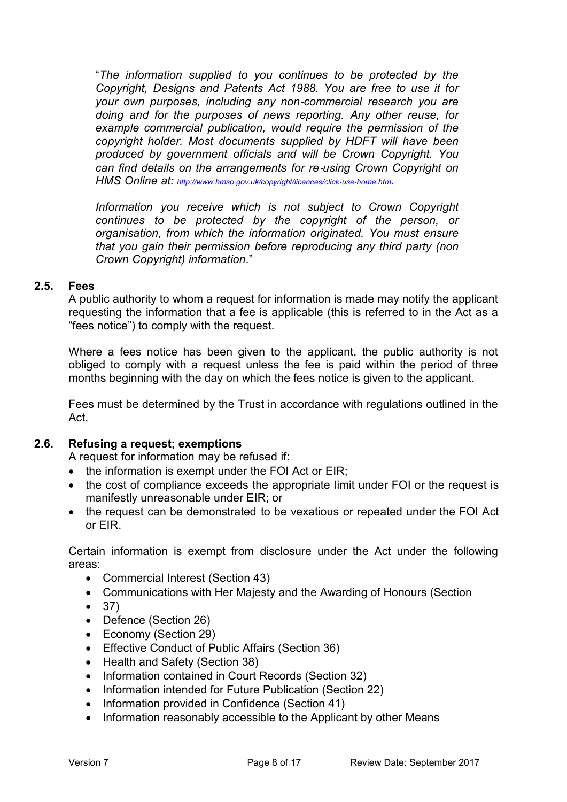"*The information supplied to you continues to be protected by the Copyright, Designs and Patents Act 1988. You are free to use it for your own purposes, including any non*‐*commercial research you are doing and for the purposes of news reporting. Any other reuse, for example commercial publication, would require the permission of the copyright holder. Most documents supplied by HDFT will have been produced by government officials and will be Crown Copyright. You can find details on the arrangements for re*‐*using Crown Copyright on HMS Online at: http://www.hmso.gov.uk/copyright/licences/click*‐*use*‐*home.htm.* 

*Information you receive which is not subject to Crown Copyright continues to be protected by the copyright of the person, or organisation, from which the information originated. You must ensure that you gain their permission before reproducing any third party (non Crown Copyright) information*."

## **2.5. Fees**

A public authority to whom a request for information is made may notify the applicant requesting the information that a fee is applicable (this is referred to in the Act as a "fees notice") to comply with the request.

Where a fees notice has been given to the applicant, the public authority is not obliged to comply with a request unless the fee is paid within the period of three months beginning with the day on which the fees notice is given to the applicant.

Fees must be determined by the Trust in accordance with regulations outlined in the Act.

## **2.6. Refusing a request; exemptions**

A request for information may be refused if:

- the information is exempt under the FOI Act or EIR;
- the cost of compliance exceeds the appropriate limit under FOI or the request is manifestly unreasonable under EIR; or
- the request can be demonstrated to be vexatious or repeated under the FOI Act or EIR.

Certain information is exempt from disclosure under the Act under the following areas:

- Commercial Interest (Section 43)
- Communications with Her Majesty and the Awarding of Honours (Section
- 37)
- Defence (Section 26)
- Economy (Section 29)
- Effective Conduct of Public Affairs (Section 36)
- Health and Safety (Section 38)
- Information contained in Court Records (Section 32)
- Information intended for Future Publication (Section 22)
- Information provided in Confidence (Section 41)
- Information reasonably accessible to the Applicant by other Means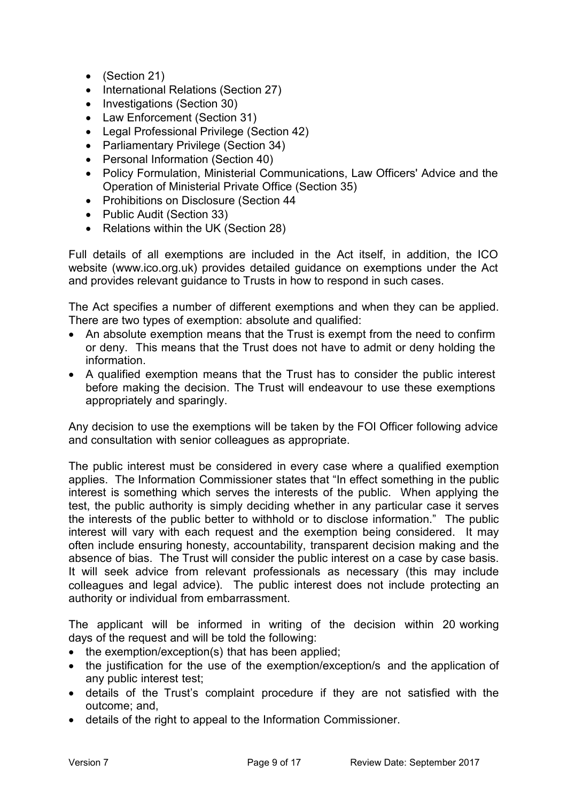- (Section 21)
- International Relations (Section 27)
- Investigations (Section 30)
- Law Enforcement (Section 31)
- Legal Professional Privilege (Section 42)
- Parliamentary Privilege (Section 34)
- Personal Information (Section 40)
- Policy Formulation, Ministerial Communications, Law Officers' Advice and the Operation of Ministerial Private Office (Section 35)
- Prohibitions on Disclosure (Section 44
- Public Audit (Section 33)
- Relations within the UK (Section 28)

Full details of all exemptions are included in the Act itself, in addition, the ICO website (www.ico.org.uk) provides detailed guidance on exemptions under the Act and provides relevant guidance to Trusts in how to respond in such cases.

The Act specifies a number of different exemptions and when they can be applied. There are two types of exemption: absolute and qualified:

- An absolute exemption means that the Trust is exempt from the need to confirm or deny. This means that the Trust does not have to admit or deny holding the information.
- A qualified exemption means that the Trust has to consider the public interest before making the decision. The Trust will endeavour to use these exemptions appropriately and sparingly.

Any decision to use the exemptions will be taken by the FOI Officer following advice and consultation with senior colleagues as appropriate.

The public interest must be considered in every case where a qualified exemption applies. The Information Commissioner states that "In effect something in the public interest is something which serves the interests of the public. When applying the test, the public authority is simply deciding whether in any particular case it serves the interests of the public better to withhold or to disclose information." The public interest will vary with each request and the exemption being considered. It may often include ensuring honesty, accountability, transparent decision making and the absence of bias. The Trust will consider the public interest on a case by case basis. It will seek advice from relevant professionals as necessary (this may include colleagues and legal advice). The public interest does not include protecting an authority or individual from embarrassment.

The applicant will be informed in writing of the decision within 20 working days of the request and will be told the following:

- the exemption/exception(s) that has been applied;
- the justification for the use of the exemption/exception/s and the application of any public interest test;
- details of the Trust's complaint procedure if they are not satisfied with the outcome; and,
- details of the right to appeal to the Information Commissioner.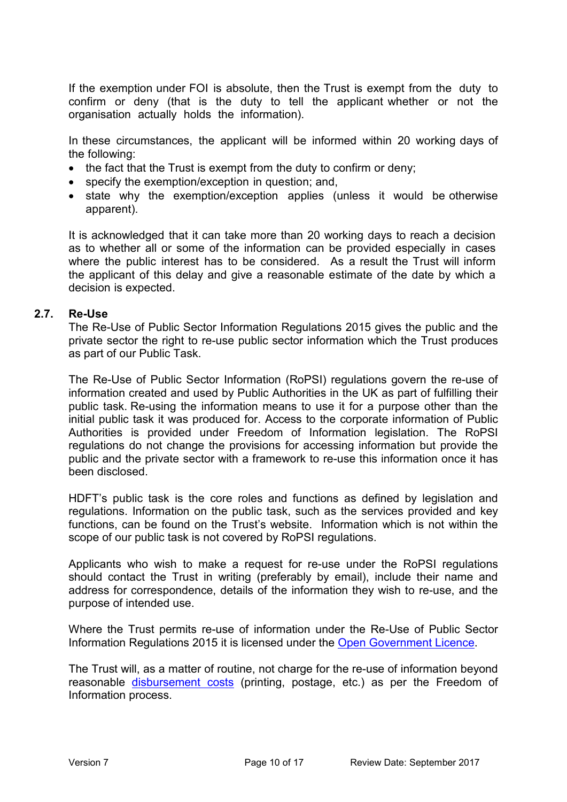If the exemption under FOI is absolute, then the Trust is exempt from the duty to confirm or deny (that is the duty to tell the applicant whether or not the organisation actually holds the information).

In these circumstances, the applicant will be informed within 20 working days of the following:

- the fact that the Trust is exempt from the duty to confirm or deny;
- specify the exemption/exception in question; and,
- state why the exemption/exception applies (unless it would be otherwise apparent).

It is acknowledged that it can take more than 20 working days to reach a decision as to whether all or some of the information can be provided especially in cases where the public interest has to be considered. As a result the Trust will inform the applicant of this delay and give a reasonable estimate of the date by which a decision is expected.

## **2.7. Re-Use**

The Re-Use of Public Sector Information Regulations 2015 gives the public and the private sector the right to re-use public sector information which the Trust produces as part of our Public Task.

The Re-Use of Public Sector Information (RoPSI) regulations govern the re-use of information created and used by Public Authorities in the UK as part of fulfilling their public task. Re-using the information means to use it for a purpose other than the initial public task it was produced for. Access to the corporate information of Public Authorities is provided under Freedom of Information legislation. The RoPSI regulations do not change the provisions for accessing information but provide the public and the private sector with a framework to re-use this information once it has been disclosed.

HDFT's public task is the core roles and functions as defined by legislation and regulations. Information on the public task, such as the services provided and key functions, can be found on the Trust's website. Information which is not within the scope of our public task is not covered by RoPSI regulations.

Applicants who wish to make a request for re-use under the RoPSI regulations should contact the Trust in writing (preferably by email), include their name and address for correspondence, details of the information they wish to re-use, and the purpose of intended use.

Where the Trust permits re-use of information under the Re-Use of Public Sector Information Regulations 2015 it is licensed under the Open Government Licence.

The Trust will, as a matter of routine, not charge for the re-use of information beyond reasonable disbursement costs (printing, postage, etc.) as per the Freedom of Information process.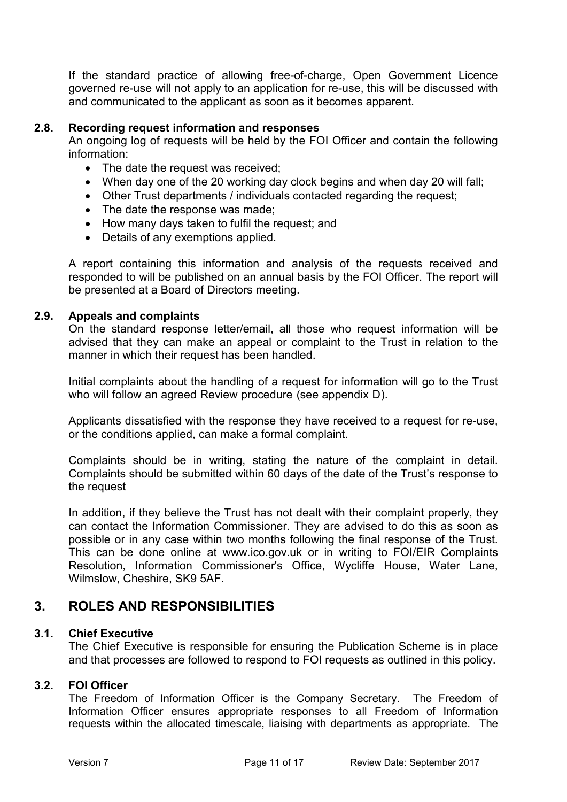If the standard practice of allowing free-of-charge, Open Government Licence governed re-use will not apply to an application for re-use, this will be discussed with and communicated to the applicant as soon as it becomes apparent.

## **2.8. Recording request information and responses**

An ongoing log of requests will be held by the FOI Officer and contain the following information:

- The date the request was received;
- When day one of the 20 working day clock begins and when day 20 will fall;
- Other Trust departments / individuals contacted regarding the request;
- The date the response was made;
- How many days taken to fulfil the request; and
- Details of any exemptions applied.

A report containing this information and analysis of the requests received and responded to will be published on an annual basis by the FOI Officer. The report will be presented at a Board of Directors meeting.

#### **2.9. Appeals and complaints**

On the standard response letter/email, all those who request information will be advised that they can make an appeal or complaint to the Trust in relation to the manner in which their request has been handled.

Initial complaints about the handling of a request for information will go to the Trust who will follow an agreed Review procedure (see appendix D).

Applicants dissatisfied with the response they have received to a request for re-use, or the conditions applied, can make a formal complaint.

Complaints should be in writing, stating the nature of the complaint in detail. Complaints should be submitted within 60 days of the date of the Trust's response to the request

In addition, if they believe the Trust has not dealt with their complaint properly, they can contact the Information Commissioner. They are advised to do this as soon as possible or in any case within two months following the final response of the Trust. This can be done online at www.ico.gov.uk or in writing to FOI/EIR Complaints Resolution, Information Commissioner's Office, Wycliffe House, Water Lane, Wilmslow, Cheshire, SK9 5AF.

## **3. ROLES AND RESPONSIBILITIES**

#### **3.1. Chief Executive**

The Chief Executive is responsible for ensuring the Publication Scheme is in place and that processes are followed to respond to FOI requests as outlined in this policy.

#### **3.2. FOI Officer**

The Freedom of Information Officer is the Company Secretary. The Freedom of Information Officer ensures appropriate responses to all Freedom of Information requests within the allocated timescale, liaising with departments as appropriate. The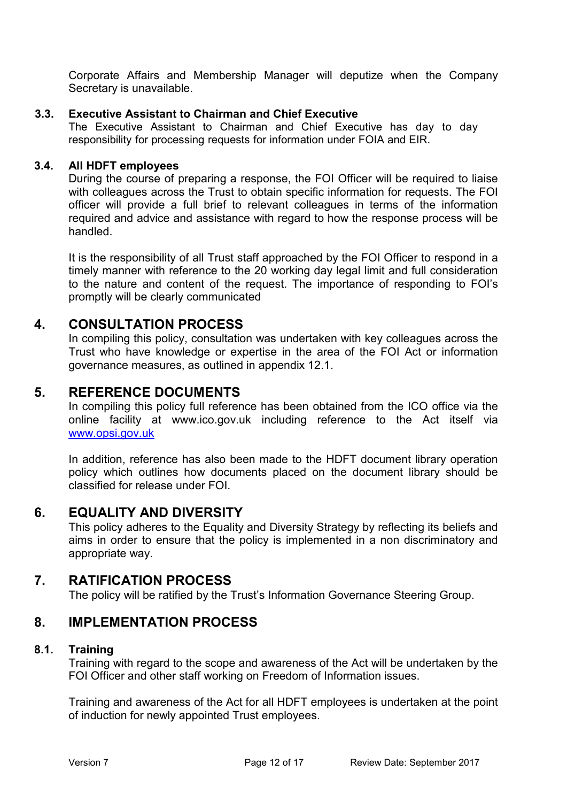Corporate Affairs and Membership Manager will deputize when the Company Secretary is unavailable.

## **3.3. Executive Assistant to Chairman and Chief Executive**

The Executive Assistant to Chairman and Chief Executive has day to day responsibility for processing requests for information under FOIA and EIR.

## **3.4. All HDFT employees**

During the course of preparing a response, the FOI Officer will be required to liaise with colleagues across the Trust to obtain specific information for requests. The FOI officer will provide a full brief to relevant colleagues in terms of the information required and advice and assistance with regard to how the response process will be handled.

It is the responsibility of all Trust staff approached by the FOI Officer to respond in a timely manner with reference to the 20 working day legal limit and full consideration to the nature and content of the request. The importance of responding to FOI's promptly will be clearly communicated

## **4. CONSULTATION PROCESS**

In compiling this policy, consultation was undertaken with key colleagues across the Trust who have knowledge or expertise in the area of the FOI Act or information governance measures, as outlined in appendix 12.1.

## **5. REFERENCE DOCUMENTS**

In compiling this policy full reference has been obtained from the ICO office via the online facility at www.ico.gov.uk including reference to the Act itself via www.opsi.gov.uk

In addition, reference has also been made to the HDFT document library operation policy which outlines how documents placed on the document library should be classified for release under FOI.

## **6. EQUALITY AND DIVERSITY**

This policy adheres to the Equality and Diversity Strategy by reflecting its beliefs and aims in order to ensure that the policy is implemented in a non discriminatory and appropriate way.

## **7. RATIFICATION PROCESS**

The policy will be ratified by the Trust's Information Governance Steering Group.

## **8. IMPLEMENTATION PROCESS**

## **8.1. Training**

Training with regard to the scope and awareness of the Act will be undertaken by the FOI Officer and other staff working on Freedom of Information issues.

Training and awareness of the Act for all HDFT employees is undertaken at the point of induction for newly appointed Trust employees.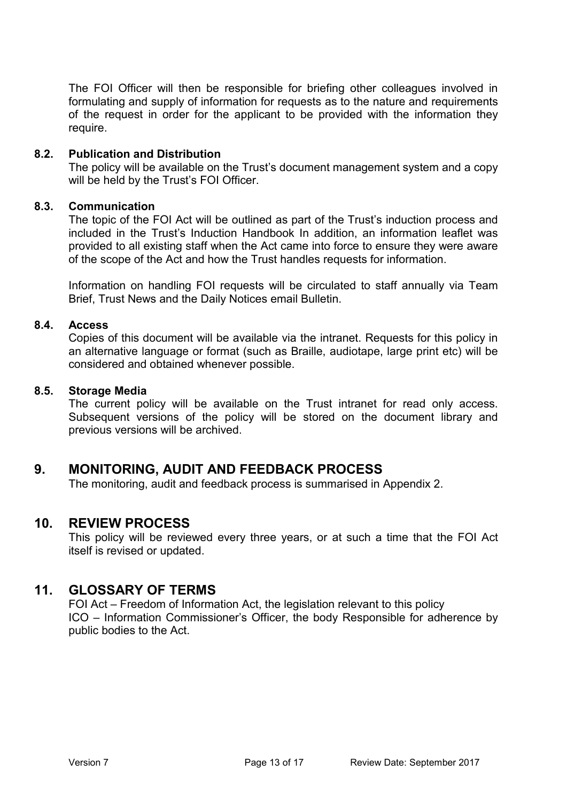The FOI Officer will then be responsible for briefing other colleagues involved in formulating and supply of information for requests as to the nature and requirements of the request in order for the applicant to be provided with the information they require.

#### **8.2. Publication and Distribution**

The policy will be available on the Trust's document management system and a copy will be held by the Trust's FOI Officer.

#### **8.3. Communication**

The topic of the FOI Act will be outlined as part of the Trust's induction process and included in the Trust's Induction Handbook In addition, an information leaflet was provided to all existing staff when the Act came into force to ensure they were aware of the scope of the Act and how the Trust handles requests for information.

Information on handling FOI requests will be circulated to staff annually via Team Brief, Trust News and the Daily Notices email Bulletin.

#### **8.4. Access**

Copies of this document will be available via the intranet. Requests for this policy in an alternative language or format (such as Braille, audiotape, large print etc) will be considered and obtained whenever possible.

#### **8.5. Storage Media**

The current policy will be available on the Trust intranet for read only access. Subsequent versions of the policy will be stored on the document library and previous versions will be archived.

## **9. MONITORING, AUDIT AND FEEDBACK PROCESS**

The monitoring, audit and feedback process is summarised in Appendix 2.

## **10. REVIEW PROCESS**

This policy will be reviewed every three years, or at such a time that the FOI Act itself is revised or updated.

## **11. GLOSSARY OF TERMS**

FOI Act – Freedom of Information Act, the legislation relevant to this policy ICO – Information Commissioner's Officer, the body Responsible for adherence by public bodies to the Act.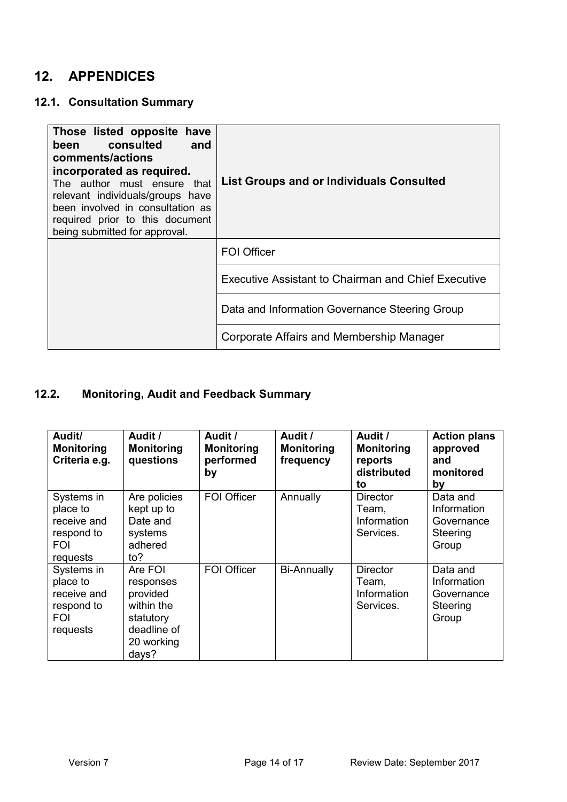# **12. APPENDICES**

## **12.1. Consultation Summary**

| Those listed opposite have<br>been consulted<br>and<br>comments/actions<br>incorporated as required.<br>The author must ensure that<br>relevant individuals/groups have<br>been involved in consultation as<br>required prior to this document<br>being submitted for approval. | <b>List Groups and or Individuals Consulted</b>            |
|---------------------------------------------------------------------------------------------------------------------------------------------------------------------------------------------------------------------------------------------------------------------------------|------------------------------------------------------------|
|                                                                                                                                                                                                                                                                                 | <b>FOI Officer</b>                                         |
|                                                                                                                                                                                                                                                                                 | <b>Executive Assistant to Chairman and Chief Executive</b> |
|                                                                                                                                                                                                                                                                                 | Data and Information Governance Steering Group             |
|                                                                                                                                                                                                                                                                                 | Corporate Affairs and Membership Manager                   |

# **12.2. Monitoring, Audit and Feedback Summary**

| Audit/<br><b>Monitoring</b><br>Criteria e.g.                                  | Audit /<br><b>Monitoring</b><br>questions                                                         | Audit /<br><b>Monitoring</b><br>performed<br>by | Audit /<br><b>Monitoring</b><br>frequency | Audit /<br><b>Monitoring</b><br>reports<br>distributed<br>to | <b>Action plans</b><br>approved<br>and<br>monitored<br>by  |
|-------------------------------------------------------------------------------|---------------------------------------------------------------------------------------------------|-------------------------------------------------|-------------------------------------------|--------------------------------------------------------------|------------------------------------------------------------|
| Systems in<br>place to<br>receive and<br>respond to<br><b>FOI</b><br>requests | Are policies<br>kept up to<br>Date and<br>systems<br>adhered<br>to?                               | <b>FOI Officer</b>                              | Annually                                  | <b>Director</b><br>Team,<br>Information<br>Services.         | Data and<br>Information<br>Governance<br>Steering<br>Group |
| Systems in<br>place to<br>receive and<br>respond to<br><b>FOI</b><br>requests | Are FOI<br>responses<br>provided<br>within the<br>statutory<br>deadline of<br>20 working<br>days? | <b>FOI Officer</b>                              | <b>Bi-Annually</b>                        | <b>Director</b><br>Team,<br>Information<br>Services.         | Data and<br>Information<br>Governance<br>Steering<br>Group |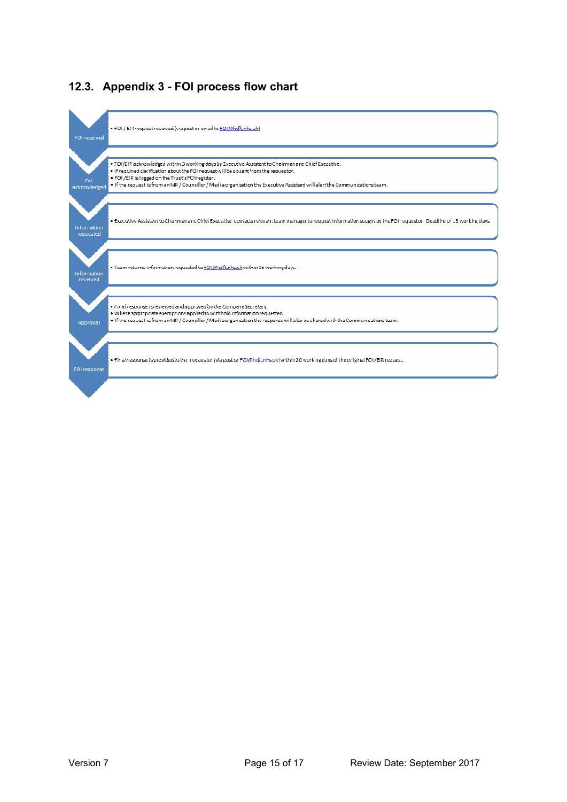

## **12.3. Appendix 3 - FOI process flow chart**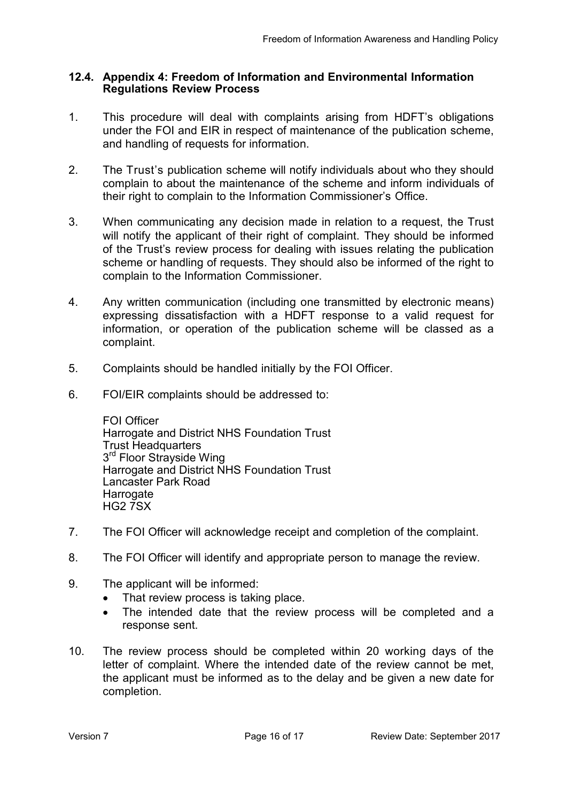## **12.4. Appendix 4: Freedom of Information and Environmental Information Regulations Review Process**

- 1. This procedure will deal with complaints arising from HDFT's obligations under the FOI and EIR in respect of maintenance of the publication scheme, and handling of requests for information.
- 2. The Trust's publication scheme will notify individuals about who they should complain to about the maintenance of the scheme and inform individuals of their right to complain to the Information Commissioner's Office.
- 3. When communicating any decision made in relation to a request, the Trust will notify the applicant of their right of complaint. They should be informed of the Trust's review process for dealing with issues relating the publication scheme or handling of requests. They should also be informed of the right to complain to the Information Commissioner.
- 4. Any written communication (including one transmitted by electronic means) expressing dissatisfaction with a HDFT response to a valid request for information, or operation of the publication scheme will be classed as a complaint.
- 5. Complaints should be handled initially by the FOI Officer.
- 6. FOI/EIR complaints should be addressed to:

FOI Officer Harrogate and District NHS Foundation Trust Trust Headquarters 3<sup>rd</sup> Floor Strayside Wing Harrogate and District NHS Foundation Trust Lancaster Park Road Harrogate HG2 7SX

- 7. The FOI Officer will acknowledge receipt and completion of the complaint.
- 8. The FOI Officer will identify and appropriate person to manage the review.
- 9. The applicant will be informed:
	- That review process is taking place.
	- The intended date that the review process will be completed and a response sent.
- 10. The review process should be completed within 20 working days of the letter of complaint. Where the intended date of the review cannot be met, the applicant must be informed as to the delay and be given a new date for completion.